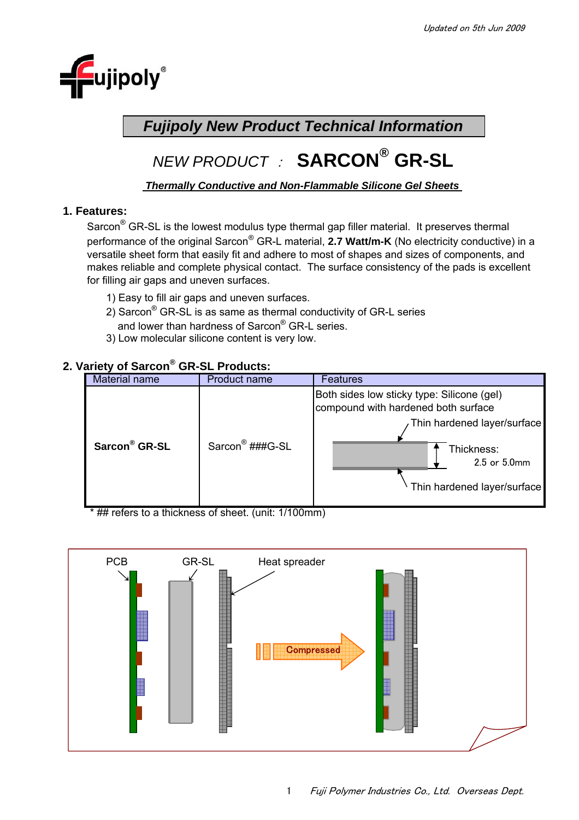

## *Fujipoly New Product Technical Information*

# *NEW PRODUCT* :**SARCON® GR-SL**

### *Thermally Conductive and Non-Flammable Silicone Gel Sheets*

### **1. Features:**

Sarcon<sup>®</sup> GR-SL is the lowest modulus type thermal gap filler material. It preserves thermal performance of the original Sarcon® GR-L material, **2.7 Watt/m-K** (No electricity conductive) in a versatile sheet form that easily fit and adhere to most of shapes and sizes of components, and makes reliable and complete physical contact. The surface consistency of the pads is excellent for filling air gaps and uneven surfaces.

- 1) Easy to fill air gaps and uneven surfaces.
- 2) Sarcon $^{\circledR}$  GR-SL is as same as thermal conductivity of GR-L series and lower than hardness of Sarcon® GR-L series.
- 3) Low molecular silicone content is very low.

### **2. Variety of Sarcon® GR-SL Products:**



\* ## refers to a thickness of sheet. (unit: 1/100mm)

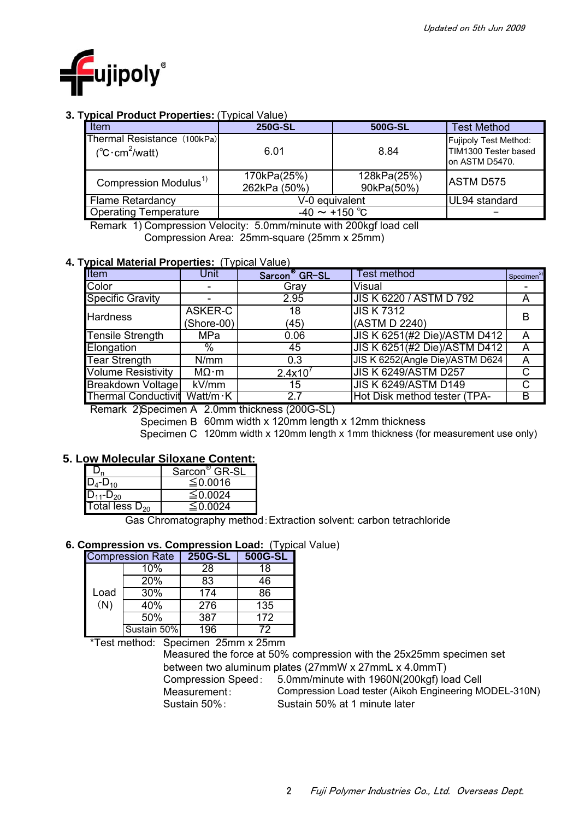

### **3. Typical Product Properties:** (Typical Value)

| Item                                                          | 250G-SL                     | 500G-SL                   | <b>Test Method</b>                                              |
|---------------------------------------------------------------|-----------------------------|---------------------------|-----------------------------------------------------------------|
| Thermal Resistance (100kPa)<br>$(^{\circ}C \cdot cm^2$ /watt) | 6.01                        | 8.84                      | Fujipoly Test Method:<br>TIM1300 Tester based<br>on ASTM D5470. |
| Compression Modulus <sup>1)</sup>                             | 170kPa(25%)<br>262kPa (50%) | 128kPa(25%)<br>90kPa(50%) | <b>ASTM D575</b>                                                |
| <b>Flame Retardancy</b>                                       | V-0 equivalent              | UL94 standard             |                                                                 |
| <b>Operating Temperature</b>                                  | $-40 \sim +150$ °C          |                           |                                                                 |

 Remark 1) Compression Velocity: 5.0mm/minute with 200kgf load cell Compression Area: 25mm-square (25mm x 25mm)

#### **4. Typical Material Properties:** (Typical Value)

| Item                       | Unit                 | Sarcon <sup>®</sup> GR-SL               | <b>Test method</b>              | Specimen $2$ |  |
|----------------------------|----------------------|-----------------------------------------|---------------------------------|--------------|--|
| Color                      |                      | Gray                                    | Visual                          |              |  |
| <b>Specific Gravity</b>    |                      | 2.95                                    | JIS K 6220 / ASTM D 792         | A            |  |
| <b>Hardness</b>            | ASKER-C              | 18                                      | <b>JIS K7312</b>                | B            |  |
|                            | (Shore-00)           | (45)                                    | (ASTM D 2240)                   |              |  |
| <b>Tensile Strength</b>    | MPa                  | 0.06                                    | JIS K 6251(#2 Die)/ASTM D412    | A            |  |
| Elongation                 | %                    | 45                                      | JIS K 6251(#2 Die)/ASTM D412    | A            |  |
| <b>Tear Strength</b>       | N/mm                 | 0.3                                     | JIS K 6252(Angle Die)/ASTM D624 | A            |  |
| <b>Volume Resistivity</b>  | $M\Omega \cdot m$    | $2.4x10^{7}$                            | <b>JIS K 6249/ASTM D257</b>     | С            |  |
| Breakdown Voltage          | kV/mm                | 15                                      | <b>JIS K 6249/ASTM D149</b>     | С            |  |
| <b>Thermal Conductivit</b> | $Watt/m \cdot K$     | 2.7                                     | Hot Disk method tester (TPA-    | B            |  |
| $\sim$ $\sim$ $\sim$       | $\sim$ $\sim$ $\sim$ | .<br>$\sim$ $\sim$ $\sim$ $\sim$ $\sim$ |                                 |              |  |

Remark 2) Specimen A 2.0mm thickness (200G-SL)

Specimen B 60mm width x 120mm length x 12mm thickness

Specimen C 120mm width x 120mm length x 1mm thickness (for measurement use only)

### **5. Low Molecular Siloxane Content:**

|                     | Sarcon <sup>®</sup> GR-SL |
|---------------------|---------------------------|
| $D_4 - D_{10}$      | ≤ 0.0016                  |
| $D_{11} - D_{20}$   | $\leq$ 0.0024             |
| Total less $D_{20}$ | $\leq$ 0 0 0 $\approx$    |

Gas Chromatography method:Extraction solvent: carbon tetrachloride

### **6. Compression vs. Compression Load:** (Typical Value)

|      | <b>Compression Rate</b> | 250G-SL | 500G-SL |
|------|-------------------------|---------|---------|
|      | 10%                     | 28      | 18      |
|      | <b>20%</b>              | 83      | 46      |
| Load | 30%                     | 174     | 86      |
| (N)  | 40%                     | 276     | 135     |
|      | 50%                     | 387     | 172     |
|      | Sustain 50%             | 196     | 72      |

\*Test method: Specimen 25mm x 25mm

Compression Speed: 5.0mm/minute with 1960N(200kgf) load Cell Measurement: Sustain 50%: Sustain 50% at 1 minute later Compression Load tester (Aikoh Engineering MODEL-310N) Measured the force at 50% compression with the 25x25mm specimen set between two aluminum plates (27mmW x 27mmL x 4.0mmT)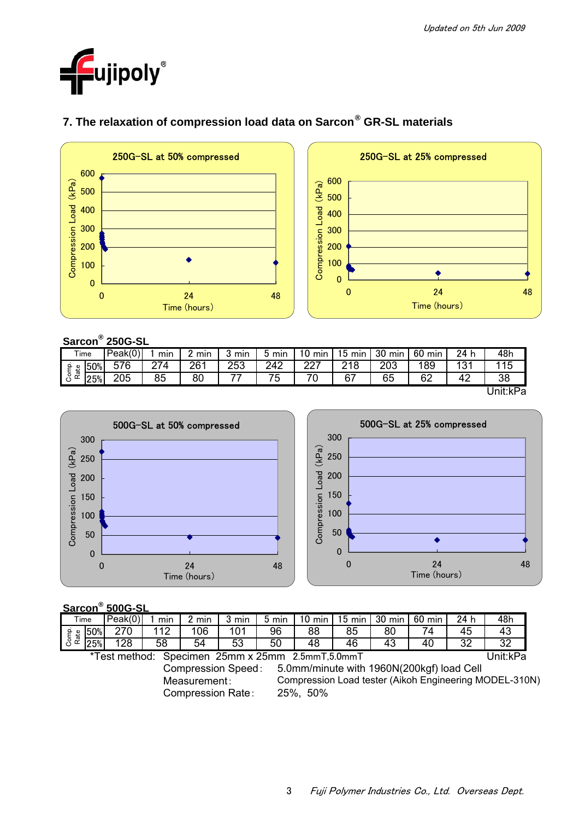



### **7. The relaxation of compression load data on Sarcon® GR-SL materials**

### **Sarcon® 250G-SL**

| -------  |     |         |     |     |     |     |              |           |            |           |                        |          |
|----------|-----|---------|-----|-----|-----|-----|--------------|-----------|------------|-----------|------------------------|----------|
| Time     |     | Peak(0) | mın | min | mir | mir | 10<br>min    | 15<br>min | 30<br>min  | 60<br>min | 24 h                   | 48h      |
| ۽<br>₽   | 50% | 576     | 274 | 261 | 253 | 242 | າາກ<br>— Z L | 218       | ററാ<br>∠∪ບ | 89        | 12 <sup>4</sup><br>۔ ب | 115      |
| င်္ပီ ဇီ | 25% | 205     | 85  | 80  | --  | 75  | 70           | 67        | 65         | 62        | 42                     | 38       |
|          |     |         |     |     |     |     |              |           |            |           |                        | Unit:kPa |





### **Sarcon® 500G-SL**

| .                                                |                                                                        |         |     |       |       |       |                  |        |    |                 |      |                                                        |
|--------------------------------------------------|------------------------------------------------------------------------|---------|-----|-------|-------|-------|------------------|--------|----|-----------------|------|--------------------------------------------------------|
|                                                  | Time                                                                   | Peak(0) | min | 2 min | 3 min | 5 min | $10 \text{ min}$ | 15 min |    | 30 min   60 min | 24 h | 48h                                                    |
| Comp.<br>Rate                                    | 50%                                                                    | 270     | 112 | 106   | 101   | 96    | 88               | 85     | 80 | 74.             | 45   | 43                                                     |
|                                                  | 25%                                                                    | 128     | 58  | 54    | 53    | 50    | 48               | 46     | 43 | 40              | 32   | 32                                                     |
| *Test method: Specimen 25mm x 25mm 2.5mmT,5.0mmT |                                                                        |         |     |       |       |       |                  |        |    | Unit:kPa        |      |                                                        |
|                                                  | 5.0mm/minute with 1960N(200kgf) load Cell<br><b>Compression Speed:</b> |         |     |       |       |       |                  |        |    |                 |      |                                                        |
| Measurement:                                     |                                                                        |         |     |       |       |       |                  |        |    |                 |      | Compression Load tester (Aikoh Engineering MODEL-310N) |

Compression Rate: 25%, 50%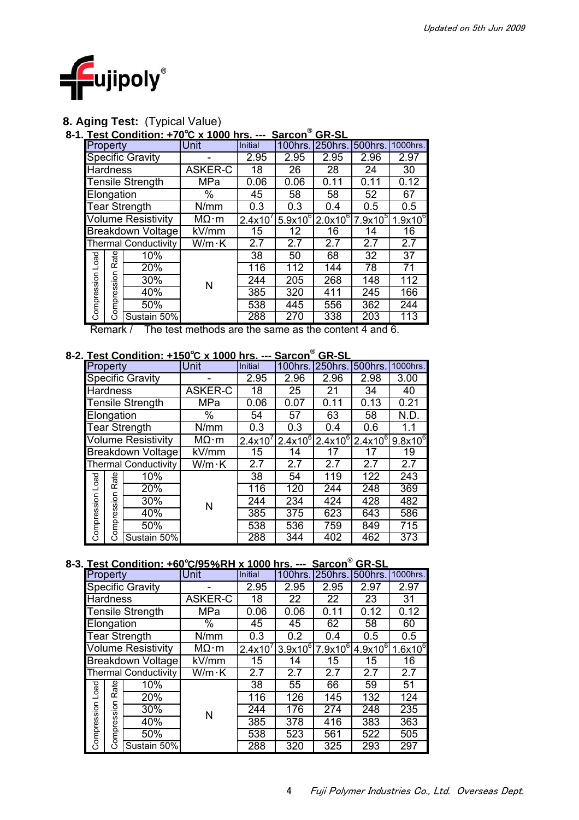

### **8. Aging Test:** (Typical Value)

### **8-1. Test Condition: +70**℃ **x 1000 hrs. --- Sarcon® GR-SL**

| Property                  |                             | Unit              | <b>Initial</b> | 100hrs       | 250hrs.    | 500hrs.    | 1000hrs.        |
|---------------------------|-----------------------------|-------------------|----------------|--------------|------------|------------|-----------------|
| Specific Gravity          |                             |                   | 2.95           | 2.95         | 2.95       | 2.96       | 2.97            |
| <b>Hardness</b>           |                             | ASKER-C           | 18             | 26           | 28         | 24         | 30              |
| <b>Tensile Strength</b>   |                             | MPa               | 0.06           | 0.06         | 0.11       | 0.11       | 0.12            |
| Elongation                |                             | %                 | 45             | 58           | 58         | 52         | 67              |
| <b>Tear Strength</b>      |                             | N/mm              | 0.3            | 0.3          | 0.4        | 0.5        | 0.5             |
| <b>Volume Resistivity</b> |                             | $M\Omega \cdot m$ | 2.4x10'        | $5.9x10^{6}$ | $2.0x10^6$ | $7.9x10^5$ | $1.9x10^6$      |
| <b>Breakdown Voltage</b>  |                             | kV/mm             | 15             | 12           | 16         | 14         | 16              |
|                           | <b>Thermal Conductivity</b> | W/m·K             | 2.7            | 2.7          | 2.7        | 2.7        | 2.7             |
| Rate<br>$_{\text{load}}$  | 10%                         |                   | 38             | 50           | 68         | 32         | $\overline{37}$ |
|                           | 20%                         |                   | 116            | 112          | 144        | 78         | 71              |
| δ<br>S                    | 30%                         | N                 | 244            | 205          | 268        | 148        | 112             |
| ဖာ<br>نة                  | 40%                         |                   | 385            | 320          | 411        | 245        | 166             |
| Compression<br>ompre      | 50%                         |                   | 538            | 445          | 556        | 362        | 244             |
| C٦                        | Sustain 50%                 |                   | 288            | 270          | 338        | 203        | 113             |

### **8-2. Test Condition: +150**℃ **x 1000 hrs. --- Sarcon® GR-SL**

| Rate<br>10%                                                                                                                           |                                     | 38               | 50               | 68               | 32                                                                                           | 37              |  |  |  |  |
|---------------------------------------------------------------------------------------------------------------------------------------|-------------------------------------|------------------|------------------|------------------|----------------------------------------------------------------------------------------------|-----------------|--|--|--|--|
| 20%                                                                                                                                   |                                     | 116              | 112              | 144              | 78                                                                                           | $\overline{71}$ |  |  |  |  |
| 30%                                                                                                                                   | N                                   | 244              | 205              | 268              | 148                                                                                          | 112             |  |  |  |  |
| Compression Load<br>Compression<br>40%                                                                                                |                                     | 385              | 320              | 411              | 245                                                                                          | 166             |  |  |  |  |
| 50%                                                                                                                                   |                                     | 538              | 445              | 556              | 362                                                                                          | 244             |  |  |  |  |
| Sustain 50%                                                                                                                           |                                     | 288              | 270              | 338              | 203                                                                                          | 113             |  |  |  |  |
| The test methods are the same as the content 4 and 6.<br>Remark /<br>Test Condition: +150°C x 1000 hrs. --- Sarcon <sup>®</sup> GR-SL |                                     |                  |                  |                  |                                                                                              |                 |  |  |  |  |
| Property                                                                                                                              | Unit                                | Initial          | 100hrs.          | 250hrs. 500hrs.  |                                                                                              | 1000hrs.        |  |  |  |  |
| <b>Specific Gravity</b>                                                                                                               |                                     | 2.95             | 2.96             | 2.96             | 2.98                                                                                         | 3.00            |  |  |  |  |
| <b>Hardness</b>                                                                                                                       | <b>ASKER-C</b>                      | $\overline{18}$  | $\overline{25}$  | $\overline{21}$  | $\overline{34}$                                                                              | 40              |  |  |  |  |
| <b>Tensile Strength</b>                                                                                                               | <b>MPa</b>                          | 0.06             | 0.07             | 0.11             | 0.13                                                                                         | 0.21            |  |  |  |  |
| Elongation                                                                                                                            | $\overline{\%}$                     | 54               | 57               | 63               | $\overline{58}$                                                                              | N.D.            |  |  |  |  |
| <b>Tear Strength</b>                                                                                                                  | $\overline{\text{N/m}}$ m           | 0.3              | 0.3              | 0.4              | 0.6                                                                                          | 1.1             |  |  |  |  |
| <b>Volume Resistivity</b>                                                                                                             | $M\Omega \cdot m$                   | $2.4x10^7$       | $2.4x10^{6}$     |                  | $2.4x10^6$ 2.4x10 <sup>6</sup>                                                               | $9.8x10^{6}$    |  |  |  |  |
| <b>Breakdown Voltage</b>                                                                                                              | $\overline{kV/mm}$                  | 15               | 14               | 17               | 17                                                                                           | $\overline{19}$ |  |  |  |  |
| <b>Thermal Conductivity</b>                                                                                                           | $W/m \cdot K$                       | $\overline{2.7}$ | 2.7              | $\overline{2.7}$ | 2.7                                                                                          | 2.7             |  |  |  |  |
| 10%                                                                                                                                   |                                     | $\overline{38}$  | 54               | 119              | 122                                                                                          | 243             |  |  |  |  |
| 20%                                                                                                                                   |                                     | 116              | 120              | $\overline{244}$ | $\overline{248}$                                                                             | 369             |  |  |  |  |
| Compression Rate<br>Compression Load<br>30%                                                                                           | N                                   | $\overline{244}$ | 234              | 424              | 428                                                                                          | 482             |  |  |  |  |
| 40%                                                                                                                                   |                                     | 385              | $\overline{375}$ | 623              | 643                                                                                          | 586             |  |  |  |  |
| 50%                                                                                                                                   |                                     | 538              | 536              | 759              | 849                                                                                          | 715             |  |  |  |  |
| Sustain 50%                                                                                                                           |                                     | 288              | $\overline{344}$ | 402              | 462                                                                                          | 373             |  |  |  |  |
| Test Condition: +60°C/95%RH x 1000 hrs. --- Sarcon®                                                                                   |                                     |                  |                  |                  | <b>GR-SL</b>                                                                                 |                 |  |  |  |  |
| Property                                                                                                                              | Unit                                | <b>Initial</b>   | 100hrs.          | 250hrs.          | 500hrs.                                                                                      | 1000hrs.        |  |  |  |  |
| Specific Gravity                                                                                                                      |                                     | 2.95             | 2.95             | 2.95             | 2.97                                                                                         | 2.97            |  |  |  |  |
| <b>Hardness</b>                                                                                                                       | <b>ASKER-C</b>                      | $\overline{18}$  | $\overline{22}$  | $\overline{22}$  | $\overline{23}$                                                                              | $\overline{31}$ |  |  |  |  |
| <b>Tensile Strength</b>                                                                                                               | <b>MPa</b>                          | 0.06             | 0.06             | 0.11             | 0.12                                                                                         | 0.12            |  |  |  |  |
| Elongation                                                                                                                            | $\frac{1}{2}$                       | 45               | 45               | 62               | 58                                                                                           | 60              |  |  |  |  |
| <b>Tear Strength</b>                                                                                                                  | $\overline{\mathsf{N}/\mathsf{mm}}$ | 0.3              | 0.2              | 0.4              | 0.5                                                                                          | 0.5             |  |  |  |  |
| <b>Volume Resistivity</b>                                                                                                             | $M\Omega \cdot m$                   |                  |                  |                  | $2.4x10^{7}$ 3.9x10 <sup>6</sup> 7.9x10 <sup>6</sup> 4.9x10 <sup>6</sup> 1.6x10 <sup>6</sup> |                 |  |  |  |  |

### **8-3. Test Condition: +60**℃**/95**%**RH x 1000 hrs. --- Sarcon® GR-SL**

|                 |                           |                             |                   |         |            | ו וטש        | ש יוש        |            |
|-----------------|---------------------------|-----------------------------|-------------------|---------|------------|--------------|--------------|------------|
| Property        |                           |                             | Unit              | Initial | 100hrs.    | 250hrs.      | 500hrs.      | 1000hrs.   |
|                 |                           | <b>Specific Gravity</b>     |                   | 2.95    | 2.95       | 2.95         | 2.97         | 2.97       |
| <b>Hardness</b> |                           |                             | <b>ASKER-C</b>    | 18      | 22         | 22           | 23           | 31         |
|                 |                           | <b>Tensile Strength</b>     | MPa               | 0.06    | 0.06       | 0.11         | 0.12         | 0.12       |
|                 | Elongation                |                             | $\frac{0}{0}$     | 45      | 45         | 62           | 58           | 60         |
|                 |                           | <b>Tear Strength</b>        | N/mm              | 0.3     | 0.2        | 0.4          | 0.5          | 0.5        |
|                 | <b>Volume Resistivity</b> |                             | $M\Omega \cdot m$ | 2.4x10  | $3.9x10^6$ | $7.9x10^{6}$ | $4.9x10^{6}$ | $1.6x10^6$ |
|                 | Breakdown Voltage         |                             | kV/mm             | 15      | 14         | 15           | 15           | 16         |
|                 |                           | <b>Thermal Conductivity</b> | $W/m \cdot K$     | 2.7     | 2.7        | 2.7          | 2.7          | 2.7        |
| oad             | ate                       | 10%                         |                   | 38      | 55         | 66           | 59           | 51         |
|                 | œ                         | 20%                         |                   | 116     | 126        | 145          | 132          | 124        |
|                 | nois                      | 30%                         | N                 | 244     | 176        | 274          | 248          | 235        |
|                 | Compression<br>mpres      | 40%                         |                   | 385     | 378        | 416          | 383          | 363        |
|                 |                           | 50%                         |                   | 538     | 523        | 561          | 522          | 505        |
| Š               |                           | Sustain 50%                 |                   | 288     | 320        | 325          | 293          | 297        |